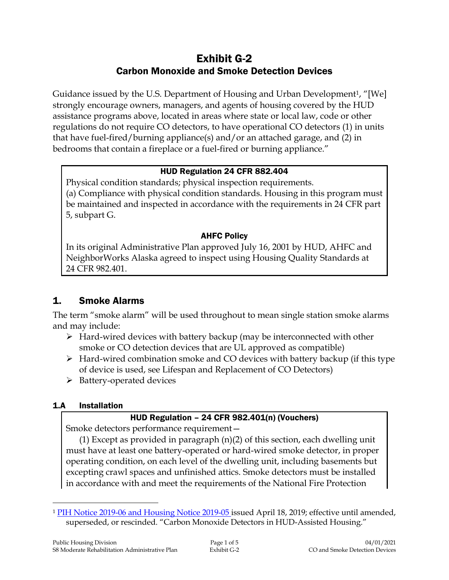# Exhibit G-2 Carbon Monoxide and Smoke Detection Devices

Guidance issued by the U.S. Department of Housing and Urban Development1, "[We] strongly encourage owners, managers, and agents of housing covered by the HUD assistance programs above, located in areas where state or local law, code or other regulations do not require CO detectors, to have operational CO detectors (1) in units that have fuel-fired/burning appliance(s) and/or an attached garage, and (2) in bedrooms that contain a fireplace or a fuel-fired or burning appliance."

### HUD Regulation 24 CFR 882.404

Physical condition standards; physical inspection requirements. (a) Compliance with physical condition standards. Housing in this program must be maintained and inspected in accordance with the requirements in 24 CFR part 5, subpart G.

### AHFC Policy

In its original Administrative Plan approved July 16, 2001 by HUD, AHFC and NeighborWorks Alaska agreed to inspect using Housing Quality Standards at 24 CFR 982.401.

## 1. Smoke Alarms

The term "smoke alarm" will be used throughout to mean single station smoke alarms and may include:

- $\triangleright$  Hard-wired devices with battery backup (may be interconnected with other smoke or CO detection devices that are UL approved as compatible)
- $\triangleright$  Hard-wired combination smoke and CO devices with battery backup (if this type of device is used, see Lifespan and Replacement of CO Detectors)
- $\triangleright$  Battery-operated devices

## 1.A Installation

 $\overline{a}$ 

## HUD Regulation – 24 CFR 982.401(n) (Vouchers)

Smoke detectors performance requirement—

(1) Except as provided in paragraph (n)(2) of this section, each dwelling unit must have at least one battery-operated or hard-wired smoke detector, in proper operating condition, on each level of the dwelling unit, including basements but excepting crawl spaces and unfinished attics. Smoke detectors must be installed in accordance with and meet the requirements of the National Fire Protection

<sup>1</sup> [PIH Notice 2019-06 and Housing Notice 2019-05](https://intranet/download_file/16887) issued April 18, 2019; effective until amended, superseded, or rescinded. "Carbon Monoxide Detectors in HUD-Assisted Housing."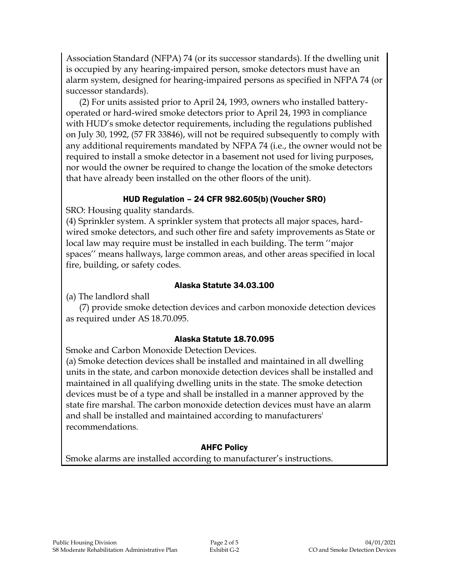Association Standard (NFPA) 74 (or its successor standards). If the dwelling unit is occupied by any hearing-impaired person, smoke detectors must have an alarm system, designed for hearing-impaired persons as specified in NFPA 74 (or successor standards).

(2) For units assisted prior to April 24, 1993, owners who installed batteryoperated or hard-wired smoke detectors prior to April 24, 1993 in compliance with HUD's smoke detector requirements, including the regulations published on July 30, 1992, (57 FR 33846), will not be required subsequently to comply with any additional requirements mandated by NFPA 74 (i.e., the owner would not be required to install a smoke detector in a basement not used for living purposes, nor would the owner be required to change the location of the smoke detectors that have already been installed on the other floors of the unit).

## HUD Regulation – 24 CFR 982.605(b) (Voucher SRO)

SRO: Housing quality standards.

(4) Sprinkler system. A sprinkler system that protects all major spaces, hardwired smoke detectors, and such other fire and safety improvements as State or local law may require must be installed in each building. The term ''major spaces'' means hallways, large common areas, and other areas specified in local fire, building, or safety codes.

#### Alaska Statute 34.03.100

(a) The landlord shall

(7) provide smoke detection devices and carbon monoxide detection devices as required under AS 18.70.095.

### Alaska Statute 18.70.095

Smoke and Carbon Monoxide Detection Devices.

(a) Smoke detection devices shall be installed and maintained in all dwelling units in the state, and carbon monoxide detection devices shall be installed and maintained in all qualifying dwelling units in the state. The smoke detection devices must be of a type and shall be installed in a manner approved by the state fire marshal. The carbon monoxide detection devices must have an alarm and shall be installed and maintained according to manufacturers' recommendations.

## AHFC Policy

Smoke alarms are installed according to manufacturer's instructions.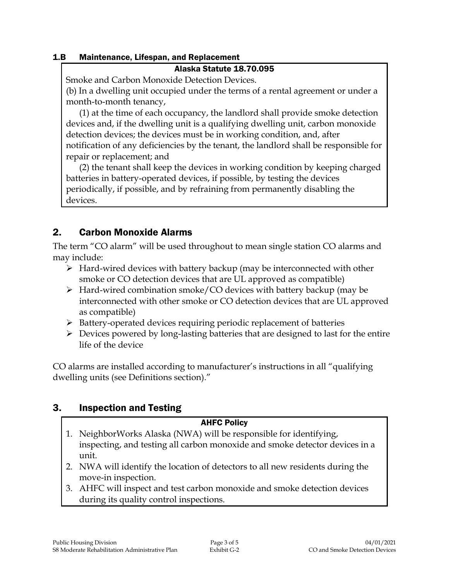#### 1.B Maintenance, Lifespan, and Replacement

#### Alaska Statute 18.70.095

Smoke and Carbon Monoxide Detection Devices.

(b) In a dwelling unit occupied under the terms of a rental agreement or under a month-to-month tenancy,

(1) at the time of each occupancy, the landlord shall provide smoke detection devices and, if the dwelling unit is a qualifying dwelling unit, carbon monoxide detection devices; the devices must be in working condition, and, after notification of any deficiencies by the tenant, the landlord shall be responsible for repair or replacement; and

(2) the tenant shall keep the devices in working condition by keeping charged batteries in battery-operated devices, if possible, by testing the devices periodically, if possible, and by refraining from permanently disabling the devices.

## 2. Carbon Monoxide Alarms

The term "CO alarm" will be used throughout to mean single station CO alarms and may include:

- $\triangleright$  Hard-wired devices with battery backup (may be interconnected with other smoke or CO detection devices that are UL approved as compatible)
- $\triangleright$  Hard-wired combination smoke/CO devices with battery backup (may be interconnected with other smoke or CO detection devices that are UL approved as compatible)
- $\triangleright$  Battery-operated devices requiring periodic replacement of batteries
- $\triangleright$  Devices powered by long-lasting batteries that are designed to last for the entire life of the device

CO alarms are installed according to manufacturer's instructions in all "qualifying dwelling units (see Definitions section)."

## 3. Inspection and Testing

### AHFC Policy

- 1. NeighborWorks Alaska (NWA) will be responsible for identifying, inspecting, and testing all carbon monoxide and smoke detector devices in a unit.
- 2. NWA will identify the location of detectors to all new residents during the move-in inspection.
- 3. AHFC will inspect and test carbon monoxide and smoke detection devices during its quality control inspections.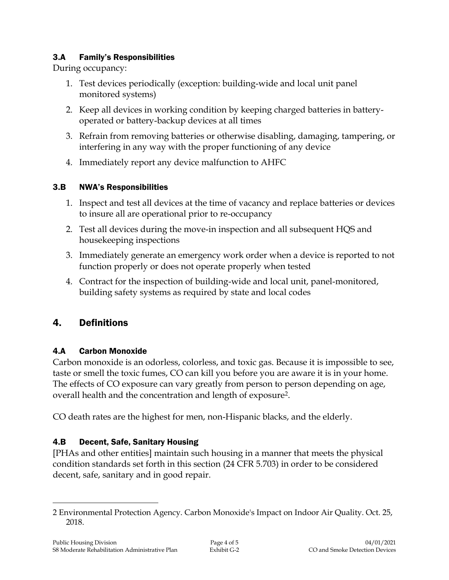### 3.A Family's Responsibilities

During occupancy:

- 1. Test devices periodically (exception: building-wide and local unit panel monitored systems)
- 2. Keep all devices in working condition by keeping charged batteries in batteryoperated or battery-backup devices at all times
- 3. Refrain from removing batteries or otherwise disabling, damaging, tampering, or interfering in any way with the proper functioning of any device
- 4. Immediately report any device malfunction to AHFC

## 3.B NWA's Responsibilities

- 1. Inspect and test all devices at the time of vacancy and replace batteries or devices to insure all are operational prior to re-occupancy
- 2. Test all devices during the move-in inspection and all subsequent HQS and housekeeping inspections
- 3. Immediately generate an emergency work order when a device is reported to not function properly or does not operate properly when tested
- 4. Contract for the inspection of building-wide and local unit, panel-monitored, building safety systems as required by state and local codes

## 4. Definitions

## 4.A Carbon Monoxide

Carbon monoxide is an odorless, colorless, and toxic gas. Because it is impossible to see, taste or smell the toxic fumes, CO can kill you before you are aware it is in your home. The effects of CO exposure can vary greatly from person to person depending on age, overall health and the concentration and length of exposure<sup>2</sup> .

CO death rates are the highest for men, non-Hispanic blacks, and the elderly.

## 4.B Decent, Safe, Sanitary Housing

[PHAs and other entities] maintain such housing in a manner that meets the physical condition standards set forth in this section (24 CFR 5.703) in order to be considered decent, safe, sanitary and in good repair.

 $\overline{a}$ 

<sup>2</sup> Environmental Protection Agency. Carbon Monoxide's Impact on Indoor Air Quality. Oct. 25, 2018.